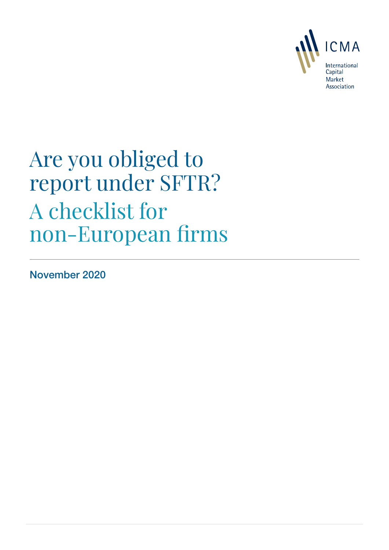

# Are you obliged to report under SFTR? A checklist for non-European firms

November 2020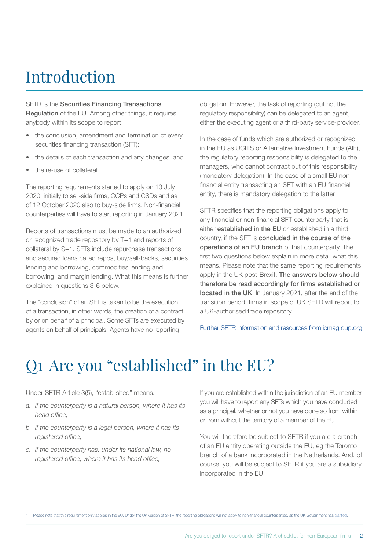# Introduction

### SFTR is the Securities Financing Transactions

**Regulation** of the EU. Among other things, it requires anybody within its scope to report:

- the conclusion, amendment and termination of every securities financing transaction (SFT);
- the details of each transaction and any changes; and
- the re-use of collateral

The reporting requirements started to apply on 13 July 2020, initially to sell-side firms, CCPs and CSDs and as of 12 October 2020 also to buy-side firms. Non-financial counterparties will have to start reporting in January 2021.<sup>1</sup>

Reports of transactions must be made to an authorized or recognized trade repository by T+1 and reports of collateral by S+1. SFTs include repurchase transactions and secured loans called repos, buy/sell-backs, securities lending and borrowing, commodities lending and borrowing, and margin lending. What this means is further explained in questions 3-6 below.

The "conclusion" of an SFT is taken to be the execution of a transaction, in other words, the creation of a contract by or on behalf of a principal. Some SFTs are executed by agents on behalf of principals. Agents have no reporting

obligation. However, the task of reporting (but not the regulatory responsibility) can be delegated to an agent, either the executing agent or a third-party service-provider.

In the case of funds which are authorized or recognized in the EU as UCITS or Alternative Investment Funds (AIF), the regulatory reporting responsibility is delegated to the managers, who cannot contract out of this responsibility (mandatory delegation). In the case of a small EU nonfinancial entity transacting an SFT with an EU financial entity, there is mandatory delegation to the latter.

SFTR specifies that the reporting obligations apply to any financial or non-financial SFT counterparty that is either **established in the EU** or established in a third country, if the SFT is concluded in the course of the operations of an EU branch of that counterparty. The first two questions below explain in more detail what this means. Please note that the same reporting requirements apply in the UK post-Brexit. The answers below should therefore be read accordingly for firms established or located in the UK. In January 2021, after the end of the transition period, firms in scope of UK SFTR will report to a UK-authorised trade repository.

[Further SFTR information and resources from icmagroup.org](https://www.icmagroup.org/Regulatory-Policy-and-Market-Practice/repo-and-collateral-markets/regulation/regulatory-reporting-of-sfts/)

# Q1 Are you "established" in the EU?

Under SFTR Article 3(5), "established" means:

- *a. if the counterparty is a natural person, where it has its head office;*
- *b. if the counterparty is a legal person, where it has its registered office;*
- *c. if the counterparty has, under its national law, no registered office, where it has its head office;*

If you are established within the jurisdiction of an EU member, you will have to report any SFTs which you have concluded as a principal, whether or not you have done so from within or from without the territory of a member of the EU.

You will therefore be subject to SFTR if you are a branch of an EU entity operating outside the EU, eg the Toronto branch of a bank incorporated in the Netherlands. And, of course, you will be subject to SFTR if you are a subsidiary incorporated in the EU.

1 Please note that this requirement only applies in the EU. Under the UK version of SFTR, the reporting obligations will not apply to non-financial counterparties, as the UK Government has clarified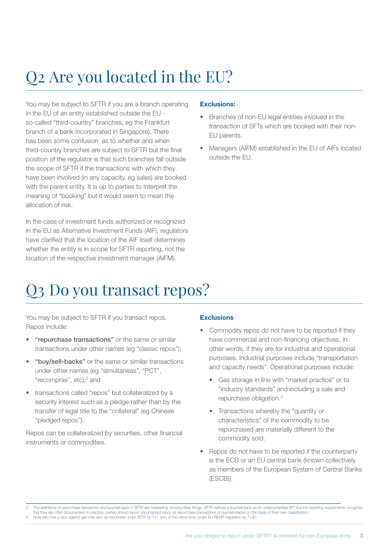# Q2 Are you located in the EU?

You may be subject to SFTR if you are a branch operating in the EU of an entity established outside the EU so-called "third-country" branches, eg the Frankfurt branch of a bank incorporated in Singapore). There has been some confusion as to whether and when third-country branches are subject to SFTR but the final position of the regulator is that such branches fall outside the scope of SFTR if the transactions with which they have been involved (in any capacity, eg sales) are booked with the parent entity. It is up to parties to interpret the meaning of "booking" but it would seem to mean the allocation of risk.

In the case of investment funds authorized or recognized in the EU as Alternative Investment Funds (AIF), regulators have clarified that the location of the AIF itself determines whether the entity is in scope for SFTR reporting, not the location of the respective investment manager (AIFM).

### Exclusions:

- Branches of non-EU legal entities involved in the transaction of SFTs which are booked with their non-EU parents.
- Managers (AIFM) established in the EU of AIFs located outside the EU.

### Q3 Do you transact repos?

You may be subject to SFTR if you transact repos. Repos include:

- "repurchase transactions" or the same or similar transactions under other names (eg "classic repos");
- "buy/sell-backs" or the same or similar transactions under other names (eg "simultaneas", "PCT", "recompras", etc);<sup>2</sup> and
- transactions called "repos" but collateralized by a security interest such as a pledge rather than by the transfer of legal title to the "collateral" (eg Chinese "pledged repos").

Repos can be collateralized by securities, other financial instruments or commodities.

### **Exclusions**

- Commodity repos do not have to be reported if they have commercial and non-financing objectives, in other words, if they are for industrial and operational purposes. Industrial purposes include "transportation and capacity needs". Operational purposes include:
	- Gas storage in line with "market practice" or to "industry standards" and including a sale and repurchase obligation.3
	- Transactions whereby the "quantity or characteristics" of the commodity to be repurchased are materially different to the commodity sold.
- Repos do not have to be reported if the counterparty is the ECB or an EU central bank (known collectively as members of the European System of Central Banks (ESCB)).

The definitions of repurchase transaction and buy/sell-back in SFTR are misleading. Among other things, SFTR defines a buy/sell-back as an undocumented SFT but the reporting requirements recognize that they are often documented. In practice, parties should report documented repos as repurchase transactions or buy/sell-backs on the basis of their own classification. 3 Note also that a repo against gas may also be reportable under SFTR by T+1 and, at the same time, under EU REMIT regulation by T+30.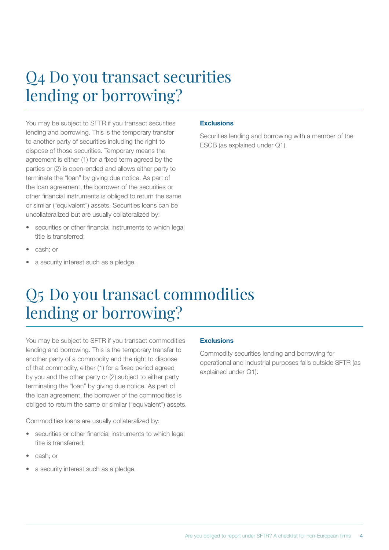### Q4 Do you transact securities lending or borrowing?

You may be subject to SFTR if you transact securities lending and borrowing. This is the temporary transfer to another party of securities including the right to dispose of those securities. Temporary means the agreement is either (1) for a fixed term agreed by the parties or (2) is open-ended and allows either party to terminate the "loan" by giving due notice. As part of the loan agreement, the borrower of the securities or other financial instruments is obliged to return the same or similar ("equivalent") assets. Securities loans can be uncollateralized but are usually collateralized by:

- securities or other financial instruments to which legal title is transferred;
- cash; or
- a security interest such as a pledge.

#### **Exclusions**

Securities lending and borrowing with a member of the ESCB (as explained under Q1).

### Q5 Do you transact commodities lending or borrowing?

You may be subject to SFTR if you transact commodities lending and borrowing. This is the temporary transfer to another party of a commodity and the right to dispose of that commodity, either (1) for a fixed period agreed by you and the other party or (2) subject to either party terminating the "loan" by giving due notice. As part of the loan agreement, the borrower of the commodities is obliged to return the same or similar ("equivalent") assets.

Commodities loans are usually collateralized by:

- securities or other financial instruments to which legal title is transferred;
- cash; or
- a security interest such as a pledge.

### **Exclusions**

Commodity securities lending and borrowing for operational and industrial purposes falls outside SFTR (as explained under Q1).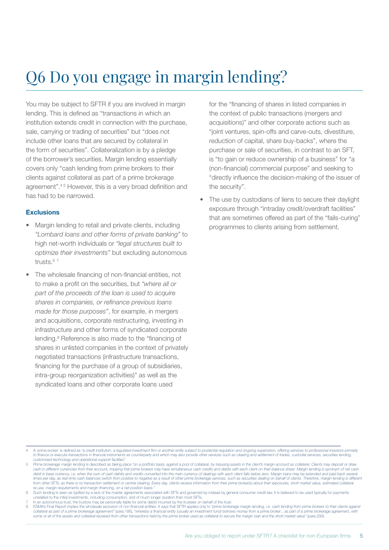# Q6 Do you engage in margin lending?

You may be subject to SFTR if you are involved in margin lending. This is defined as "transactions in which an institution extends credit in connection with the purchase, sale, carrying or trading of securities" but "does not include other loans that are secured by collateral in the form of securities". Collateralization is by a pledge of the borrower's securities. Margin lending essentially covers only "cash lending from prime brokers to their clients against collateral as part of a prime brokerage agreement".<sup>45</sup> However, this is a very broad definition and has had to be narrowed.

#### Exclusions

- Margin lending to retail and private clients, including *"Lombard loans and other forms of private banking"* to high net-worth individuals or *"legal structures built to optimize their investments"* but excluding autonomous trusts.<sup>67</sup>
- The wholesale financing of non-financial entities, not to make a profit on the securities, but *"where all or part of the proceeds of the loan is used to acquire shares in companies, or refinance previous loans made for those purposes"*, for example, in mergers and acquisitions, corporate restructuring, investing in infrastructure and other forms of syndicated corporate lending.<sup>8</sup> Reference is also made to the "financing of shares in unlisted companies in the context of privately negotiated transactions (infrastructure transactions, financing for the purchase of a group of subsidiaries, intra-group reorganization activities)" as well as the syndicated loans and other corporate loans used

for the "financing of shares in listed companies in the context of public transactions (mergers and acquisitions)" and other corporate actions such as "joint ventures, spin-offs and carve-outs, divestiture, reduction of capital, share buy-backs", where the purchase or sale of securities, in contrast to an SFT, is "to gain or reduce ownership of a business" for "a (non-financial) commercial purpose" and seeking to "directly influence the decision-making of the issuer of the security".

The use by custodians of liens to secure their daylight exposure through "intraday credit/overdraft facilities" that are sometimes offered as part of the "fails-curing" programmes to clients arising from settlement.

- 4 A 'prime broker' is defined as *"a credit institution, a regulated investment firm or another entity subject to prudential regulation and ongoing supervision, offering services to professional investors primarily*  to finance or execute transactions in financial instruments as counterparty and which may also provide other services such as clearing and settlement of trades, custodial services, securities lending, *customised technology and operational support facilities"*.
- 5 Prime brokerage margin lending is described as taking place *"on a portfolio basis, against a pool of collateral, by (re)using assets in the client's margin account as collateral. Clients may deposit or draw*  cash in different currencies from their account, implying that prime brokers may have simultaneous cash credits and debits with each client on their balance sheet. Margin lending is synonym of net cash debit in base currency, i.e. when the sum of cash debits and credits converted into the main currency of dealings with each client falls below zero. Margin loans may be extended and paid back several times per day, as real-time cash balances switch from positive to negative as a result of other prime brokerage services, such as securities dealing on behalf of clients. Therefore, margin lending is different *from other SFTs, as there is no transaction settlement or central clearing. Every day, clients receive information from their prime broker(s) about their exposures, short market value, estimated collateral*  re-use, margin requirements and margin financing, on a net position basis.
- 6 Such lending is seen as typified by a lack of the master agreements associated with SFTs and governed by instead by general consumer credit law. It is believed to be used typically for payments<br>unrelated to the initial i
- In an autonomous trust, the trustors may be personally liable for some debts incurred by the trustees on behalf of the trust

BESMA's Final Report implies the wholesale exclusion of non-financial entities. It says that SFTR applies only to "prime brokerage margin lending, i.e. cash lending from prime brokers to their clients against and bother an *some or all of the assets and collateral received from other transactions held by the prime broker used as collateral to secure the margin loan and the short market value"* (para.299).